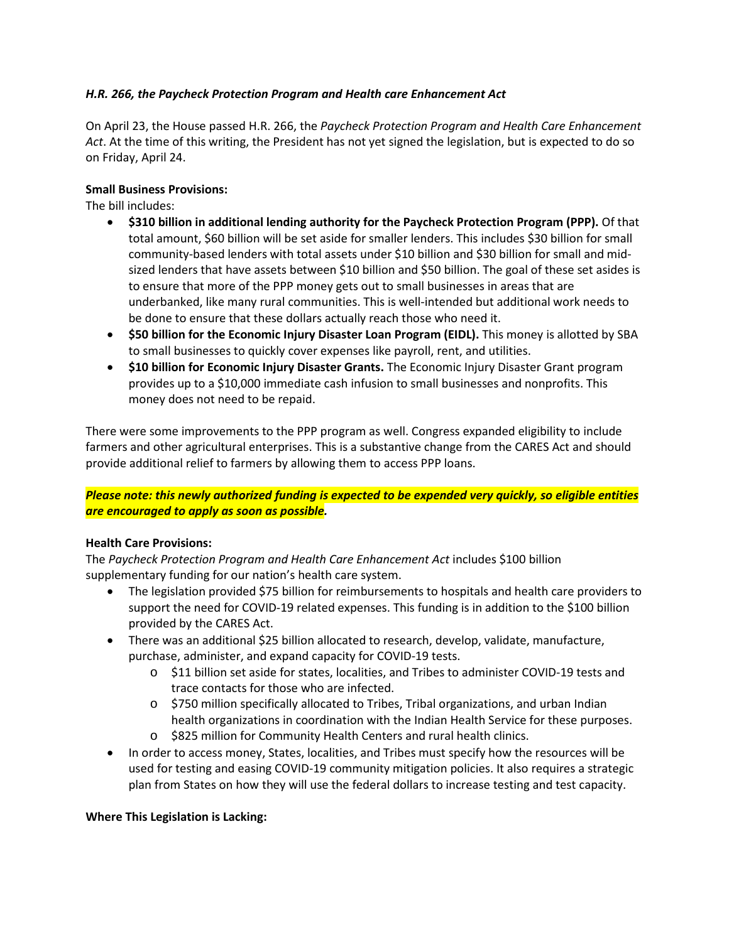# *H.R. 266, the Paycheck Protection Program and Health care Enhancement Act*

On April 23, the House passed H.R. 266, the *Paycheck Protection Program and Health Care Enhancement Act*. At the time of this writing, the President has not yet signed the legislation, but is expected to do so on Friday, April 24.

## **Small Business Provisions:**

The bill includes:

- **\$310 billion in additional lending authority for the Paycheck Protection Program (PPP).** Of that total amount, \$60 billion will be set aside for smaller lenders. This includes \$30 billion for small community-based lenders with total assets under \$10 billion and \$30 billion for small and midsized lenders that have assets between \$10 billion and \$50 billion. The goal of these set asides is to ensure that more of the PPP money gets out to small businesses in areas that are underbanked, like many rural communities. This is well-intended but additional work needs to be done to ensure that these dollars actually reach those who need it.
- **\$50 billion for the Economic Injury Disaster Loan Program (EIDL).** This money is allotted by SBA to small businesses to quickly cover expenses like payroll, rent, and utilities.
- **\$10 billion for Economic Injury Disaster Grants.** The Economic Injury Disaster Grant program provides up to a \$10,000 immediate cash infusion to small businesses and nonprofits. This money does not need to be repaid.

There were some improvements to the PPP program as well. Congress expanded eligibility to include farmers and other agricultural enterprises. This is a substantive change from the CARES Act and should provide additional relief to farmers by allowing them to access PPP loans.

## *Please note: this newly authorized funding is expected to be expended very quickly, so eligible entities are encouraged to apply as soon as possible.*

#### **Health Care Provisions:**

The *Paycheck Protection Program and Health Care Enhancement Act* includes \$100 billion supplementary funding for our nation's health care system.

- The legislation provided \$75 billion for reimbursements to hospitals and health care providers to support the need for COVID-19 related expenses. This funding is in addition to the \$100 billion provided by the CARES Act.
- There was an additional \$25 billion allocated to research, develop, validate, manufacture, purchase, administer, and expand capacity for COVID-19 tests.
	- o \$11 billion set aside for states, localities, and Tribes to administer COVID-19 tests and trace contacts for those who are infected.
	- o \$750 million specifically allocated to Tribes, Tribal organizations, and urban Indian health organizations in coordination with the Indian Health Service for these purposes.
	- o \$825 million for Community Health Centers and rural health clinics.
- In order to access money, States, localities, and Tribes must specify how the resources will be used for testing and easing COVID-19 community mitigation policies. It also requires a strategic plan from States on how they will use the federal dollars to increase testing and test capacity.

## **Where This Legislation is Lacking:**